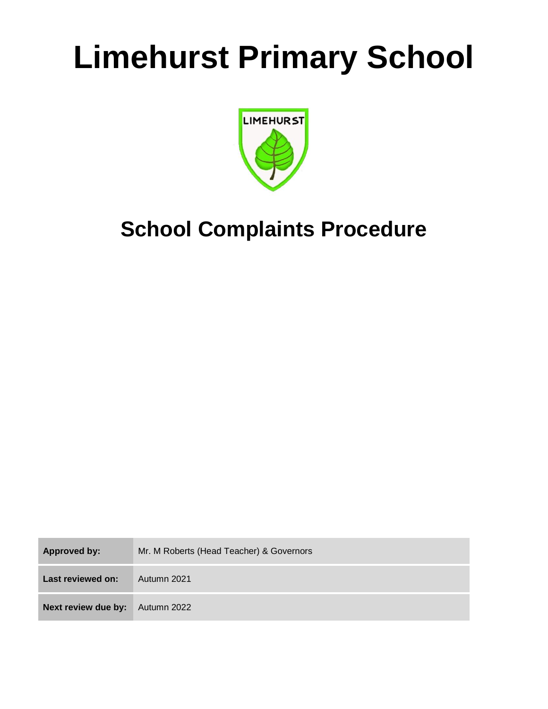# **Limehurst Primary School**



## **School Complaints Procedure**

| Approved by:        | Mr. M Roberts (Head Teacher) & Governors |  |
|---------------------|------------------------------------------|--|
| Last reviewed on:   | Autumn 2021                              |  |
| Next review due by: | Autumn 2022                              |  |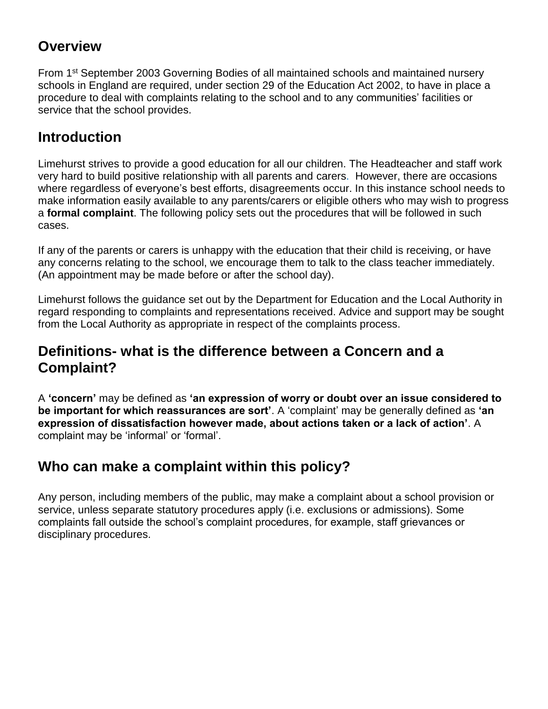#### **Overview**

From 1<sup>st</sup> September 2003 Governing Bodies of all maintained schools and maintained nursery schools in England are required, under section 29 of the Education Act 2002, to have in place a procedure to deal with complaints relating to the school and to any communities' facilities or service that the school provides.

#### **Introduction**

Limehurst strives to provide a good education for all our children. The Headteacher and staff work very hard to build positive relationship with all parents and carers. However, there are occasions where regardless of everyone's best efforts, disagreements occur. In this instance school needs to make information easily available to any parents/carers or eligible others who may wish to progress a **formal complaint**. The following policy sets out the procedures that will be followed in such cases.

If any of the parents or carers is unhappy with the education that their child is receiving, or have any concerns relating to the school, we encourage them to talk to the class teacher immediately. (An appointment may be made before or after the school day).

Limehurst follows the guidance set out by the Department for Education and the Local Authority in regard responding to complaints and representations received. Advice and support may be sought from the Local Authority as appropriate in respect of the complaints process.

#### **Definitions- what is the difference between a Concern and a Complaint?**

A **'concern'** may be defined as **'an expression of worry or doubt over an issue considered to be important for which reassurances are sort'**. A 'complaint' may be generally defined as **'an expression of dissatisfaction however made, about actions taken or a lack of action'**. A complaint may be 'informal' or 'formal'.

#### **Who can make a complaint within this policy?**

Any person, including members of the public, may make a complaint about a school provision or service, unless separate statutory procedures apply (i.e. exclusions or admissions). Some complaints fall outside the school's complaint procedures, for example, staff grievances or disciplinary procedures.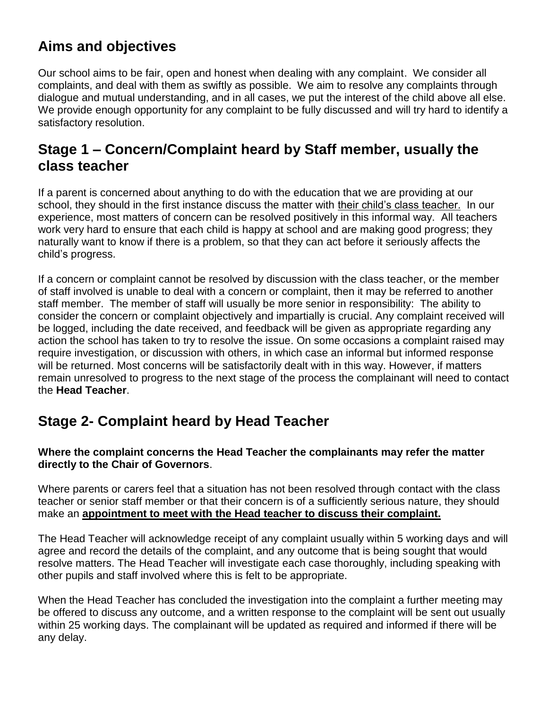## **Aims and objectives**

Our school aims to be fair, open and honest when dealing with any complaint. We consider all complaints, and deal with them as swiftly as possible. We aim to resolve any complaints through dialogue and mutual understanding, and in all cases, we put the interest of the child above all else. We provide enough opportunity for any complaint to be fully discussed and will try hard to identify a satisfactory resolution.

#### **Stage 1 – Concern/Complaint heard by Staff member, usually the class teacher**

If a parent is concerned about anything to do with the education that we are providing at our school, they should in the first instance discuss the matter with their child's class teacher. In our experience, most matters of concern can be resolved positively in this informal way. All teachers work very hard to ensure that each child is happy at school and are making good progress; they naturally want to know if there is a problem, so that they can act before it seriously affects the child's progress.

If a concern or complaint cannot be resolved by discussion with the class teacher, or the member of staff involved is unable to deal with a concern or complaint, then it may be referred to another staff member. The member of staff will usually be more senior in responsibility: The ability to consider the concern or complaint objectively and impartially is crucial. Any complaint received will be logged, including the date received, and feedback will be given as appropriate regarding any action the school has taken to try to resolve the issue. On some occasions a complaint raised may require investigation, or discussion with others, in which case an informal but informed response will be returned. Most concerns will be satisfactorily dealt with in this way. However, if matters remain unresolved to progress to the next stage of the process the complainant will need to contact the **Head Teacher**.

#### **Stage 2- Complaint heard by Head Teacher**

#### **Where the complaint concerns the Head Teacher the complainants may refer the matter directly to the Chair of Governors**.

Where parents or carers feel that a situation has not been resolved through contact with the class teacher or senior staff member or that their concern is of a sufficiently serious nature, they should make an **appointment to meet with the Head teacher to discuss their complaint.**

The Head Teacher will acknowledge receipt of any complaint usually within 5 working days and will agree and record the details of the complaint, and any outcome that is being sought that would resolve matters. The Head Teacher will investigate each case thoroughly, including speaking with other pupils and staff involved where this is felt to be appropriate.

When the Head Teacher has concluded the investigation into the complaint a further meeting may be offered to discuss any outcome, and a written response to the complaint will be sent out usually within 25 working days. The complainant will be updated as required and informed if there will be any delay.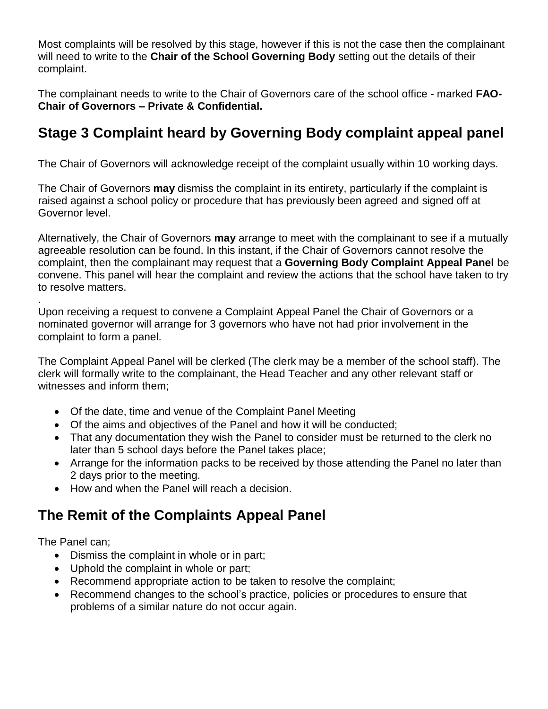Most complaints will be resolved by this stage, however if this is not the case then the complainant will need to write to the **Chair of the School Governing Body** setting out the details of their complaint.

The complainant needs to write to the Chair of Governors care of the school office - marked **FAO-Chair of Governors – Private & Confidential.**

## **Stage 3 Complaint heard by Governing Body complaint appeal panel**

The Chair of Governors will acknowledge receipt of the complaint usually within 10 working days.

The Chair of Governors **may** dismiss the complaint in its entirety, particularly if the complaint is raised against a school policy or procedure that has previously been agreed and signed off at Governor level.

Alternatively, the Chair of Governors **may** arrange to meet with the complainant to see if a mutually agreeable resolution can be found. In this instant, if the Chair of Governors cannot resolve the complaint, then the complainant may request that a **Governing Body Complaint Appeal Panel** be convene. This panel will hear the complaint and review the actions that the school have taken to try to resolve matters.

Upon receiving a request to convene a Complaint Appeal Panel the Chair of Governors or a nominated governor will arrange for 3 governors who have not had prior involvement in the complaint to form a panel.

The Complaint Appeal Panel will be clerked (The clerk may be a member of the school staff). The clerk will formally write to the complainant, the Head Teacher and any other relevant staff or witnesses and inform them;

- Of the date, time and venue of the Complaint Panel Meeting
- Of the aims and objectives of the Panel and how it will be conducted;
- That any documentation they wish the Panel to consider must be returned to the clerk no later than 5 school days before the Panel takes place;
- Arrange for the information packs to be received by those attending the Panel no later than 2 days prior to the meeting.
- How and when the Panel will reach a decision.

## **The Remit of the Complaints Appeal Panel**

The Panel can;

.

- Dismiss the complaint in whole or in part;
- Uphold the complaint in whole or part;
- Recommend appropriate action to be taken to resolve the complaint;
- Recommend changes to the school's practice, policies or procedures to ensure that problems of a similar nature do not occur again.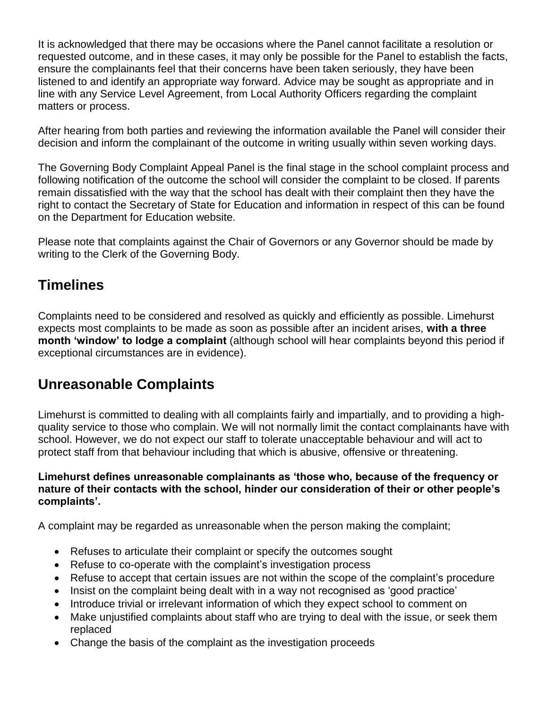It is acknowledged that there may be occasions where the Panel cannot facilitate a resolution or requested outcome, and in these cases, it may only be possible for the Panel to establish the facts, ensure the complainants feel that their concerns have been taken seriously, they have been listened to and identify an appropriate way forward. Advice may be sought as appropriate and in line with any Service Level Agreement, from Local Authority Officers regarding the complaint matters or process.

After hearing from both parties and reviewing the information available the Panel will consider their decision and inform the complainant of the outcome in writing usually within seven working days.

The Governing Body Complaint Appeal Panel is the final stage in the school complaint process and following notification of the outcome the school will consider the complaint to be closed. If parents remain dissatisfied with the way that the school has dealt with their complaint then they have the right to contact the Secretary of State for Education and information in respect of this can be found on the Department for Education website.

Please note that complaints against the Chair of Governors or any Governor should be made by writing to the Clerk of the Governing Body.

#### **Timelines**

Complaints need to be considered and resolved as quickly and efficiently as possible. Limehurst expects most complaints to be made as soon as possible after an incident arises, **with a three month 'window' to lodge a complaint** (although school will hear complaints beyond this period if exceptional circumstances are in evidence).

#### **Unreasonable Complaints**

Limehurst is committed to dealing with all complaints fairly and impartially, and to providing a highquality service to those who complain. We will not normally limit the contact complainants have with school. However, we do not expect our staff to tolerate unacceptable behaviour and will act to protect staff from that behaviour including that which is abusive, offensive or threatening.

#### **Limehurst defines unreasonable complainants as 'those who, because of the frequency or nature of their contacts with the school, hinder our consideration of their or other people's complaints'.**

A complaint may be regarded as unreasonable when the person making the complaint;

- Refuses to articulate their complaint or specify the outcomes sought
- Refuse to co-operate with the complaint's investigation process
- Refuse to accept that certain issues are not within the scope of the complaint's procedure
- Insist on the complaint being dealt with in a way not recognised as 'good practice'
- Introduce trivial or irrelevant information of which they expect school to comment on
- Make unjustified complaints about staff who are trying to deal with the issue, or seek them replaced
- Change the basis of the complaint as the investigation proceeds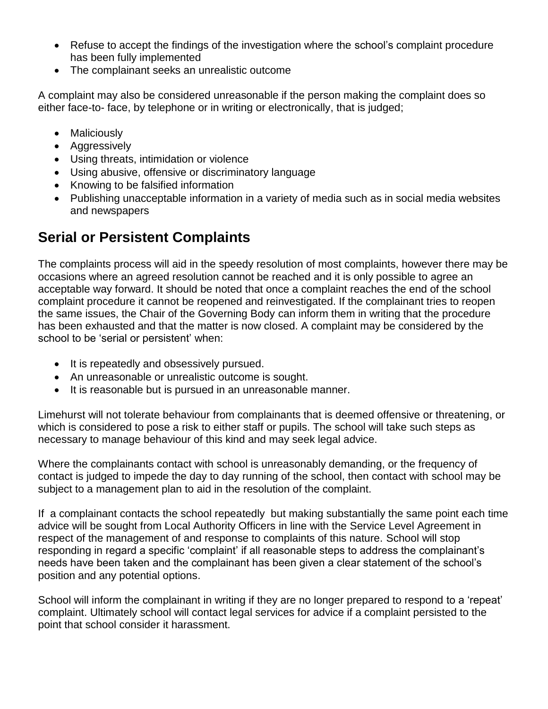- Refuse to accept the findings of the investigation where the school's complaint procedure has been fully implemented
- The complainant seeks an unrealistic outcome

A complaint may also be considered unreasonable if the person making the complaint does so either face-to- face, by telephone or in writing or electronically, that is judged;

- Maliciously
- Aggressively
- Using threats, intimidation or violence
- Using abusive, offensive or discriminatory language
- Knowing to be falsified information
- Publishing unacceptable information in a variety of media such as in social media websites and newspapers

## **Serial or Persistent Complaints**

The complaints process will aid in the speedy resolution of most complaints, however there may be occasions where an agreed resolution cannot be reached and it is only possible to agree an acceptable way forward. It should be noted that once a complaint reaches the end of the school complaint procedure it cannot be reopened and reinvestigated. If the complainant tries to reopen the same issues, the Chair of the Governing Body can inform them in writing that the procedure has been exhausted and that the matter is now closed. A complaint may be considered by the school to be 'serial or persistent' when:

- It is repeatedly and obsessively pursued.
- An unreasonable or unrealistic outcome is sought.
- It is reasonable but is pursued in an unreasonable manner.

Limehurst will not tolerate behaviour from complainants that is deemed offensive or threatening, or which is considered to pose a risk to either staff or pupils. The school will take such steps as necessary to manage behaviour of this kind and may seek legal advice.

Where the complainants contact with school is unreasonably demanding, or the frequency of contact is judged to impede the day to day running of the school, then contact with school may be subject to a management plan to aid in the resolution of the complaint.

If a complainant contacts the school repeatedly but making substantially the same point each time advice will be sought from Local Authority Officers in line with the Service Level Agreement in respect of the management of and response to complaints of this nature. School will stop responding in regard a specific 'complaint' if all reasonable steps to address the complainant's needs have been taken and the complainant has been given a clear statement of the school's position and any potential options.

School will inform the complainant in writing if they are no longer prepared to respond to a 'repeat' complaint. Ultimately school will contact legal services for advice if a complaint persisted to the point that school consider it harassment.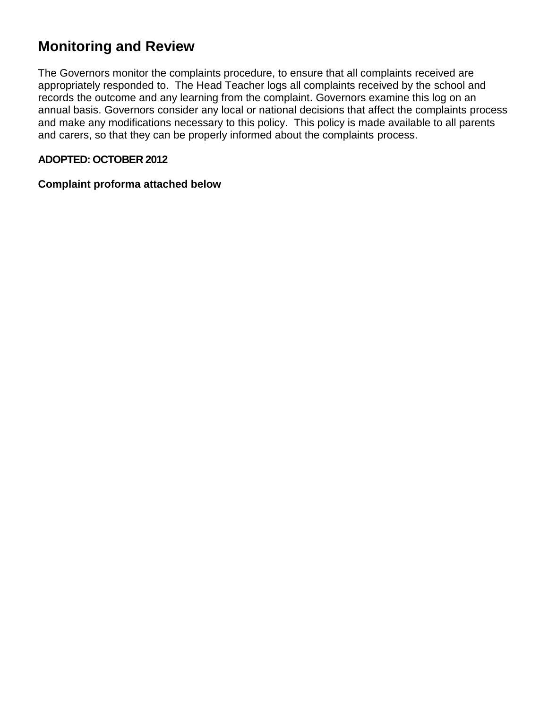#### **Monitoring and Review**

The Governors monitor the complaints procedure, to ensure that all complaints received are appropriately responded to. The Head Teacher logs all complaints received by the school and records the outcome and any learning from the complaint. Governors examine this log on an annual basis. Governors consider any local or national decisions that affect the complaints process and make any modifications necessary to this policy. This policy is made available to all parents and carers, so that they can be properly informed about the complaints process.

#### **ADOPTED: OCTOBER 2012**

#### **Complaint proforma attached below**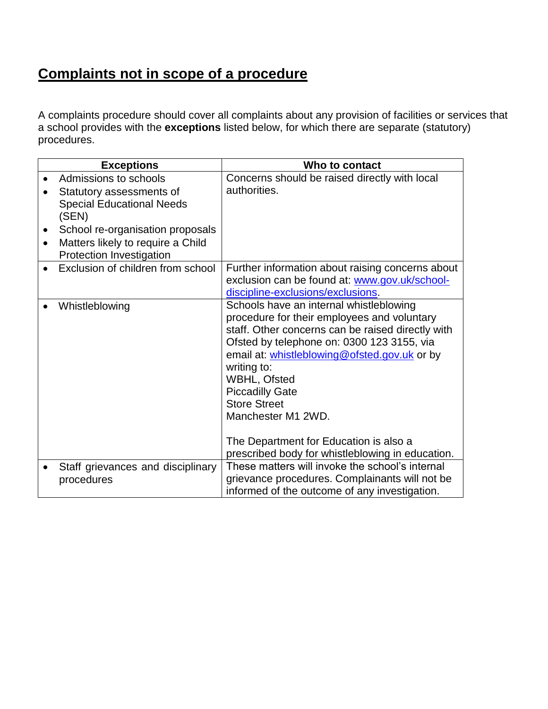## **Complaints not in scope of a procedure**

A complaints procedure should cover all complaints about any provision of facilities or services that a school provides with the **exceptions** listed below, for which there are separate (statutory) procedures.

| <b>Exceptions</b>                                                                                        | Who to contact                                                                                                                                                                                                                                                                                                                                                                                                                                |
|----------------------------------------------------------------------------------------------------------|-----------------------------------------------------------------------------------------------------------------------------------------------------------------------------------------------------------------------------------------------------------------------------------------------------------------------------------------------------------------------------------------------------------------------------------------------|
| Admissions to schools<br>Statutory assessments of<br><b>Special Educational Needs</b><br>(SEN)           | Concerns should be raised directly with local<br>authorities.                                                                                                                                                                                                                                                                                                                                                                                 |
| School re-organisation proposals<br>Matters likely to require a Child<br><b>Protection Investigation</b> |                                                                                                                                                                                                                                                                                                                                                                                                                                               |
| Exclusion of children from school                                                                        | Further information about raising concerns about<br>exclusion can be found at: www.gov.uk/school-<br>discipline-exclusions/exclusions.                                                                                                                                                                                                                                                                                                        |
| Whistleblowing                                                                                           | Schools have an internal whistleblowing<br>procedure for their employees and voluntary<br>staff. Other concerns can be raised directly with<br>Ofsted by telephone on: 0300 123 3155, via<br>email at: whistleblowing@ofsted.gov.uk or by<br>writing to:<br>WBHL, Ofsted<br><b>Piccadilly Gate</b><br><b>Store Street</b><br>Manchester M1 2WD.<br>The Department for Education is also a<br>prescribed body for whistleblowing in education. |
| Staff grievances and disciplinary<br>procedures                                                          | These matters will invoke the school's internal<br>grievance procedures. Complainants will not be<br>informed of the outcome of any investigation.                                                                                                                                                                                                                                                                                            |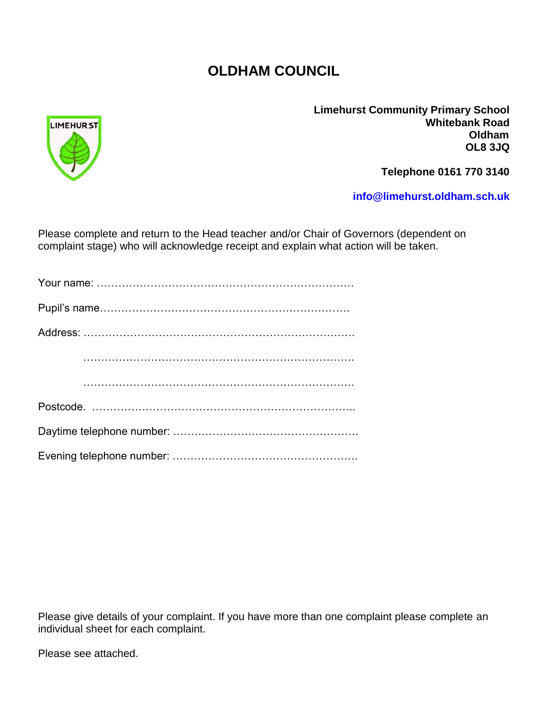#### **OLDHAM COUNCIL**



**Limehurst Community Primary School Whitebank Road Oldham OL8 3JQ**

**Telephone 0161 770 3140** 

**[info@limehurst.oldham.sch.uk](mailto:info@limehurst.oldham.sch.uk)**

Please complete and return to the Head teacher and/or Chair of Governors (dependent on complaint stage) who will acknowledge receipt and explain what action will be taken.

Please give details of your complaint. If you have more than one complaint please complete an individual sheet for each complaint.

Please see attached.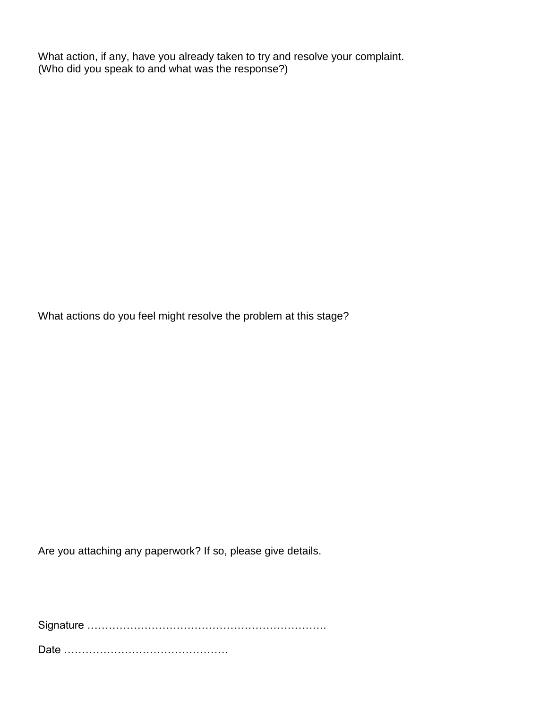What action, if any, have you already taken to try and resolve your complaint. (Who did you speak to and what was the response?)

What actions do you feel might resolve the problem at this stage?

Are you attaching any paperwork? If so, please give details.

Signature ………………………………………………………….

Date ……………………………………….